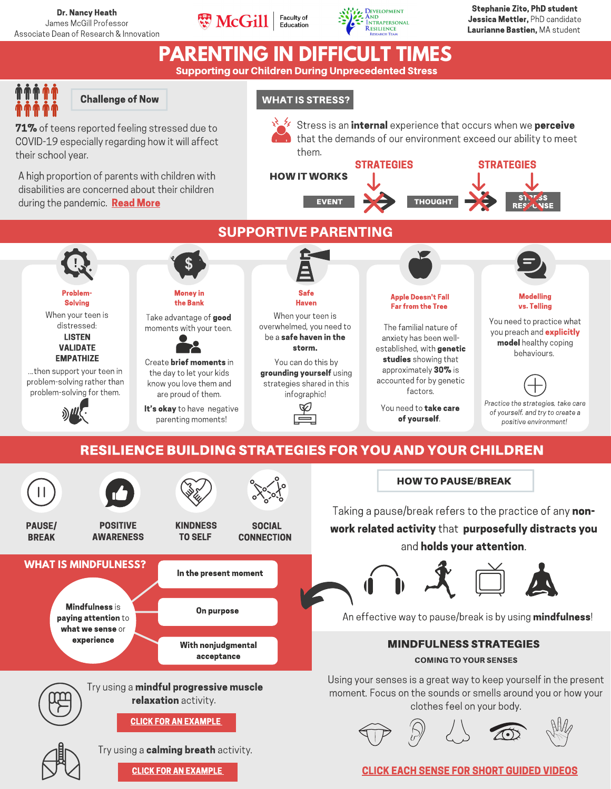



Stephanie Zito, PhD student Jessica Mettler, PhD candidate Laurianne Bastien, MA student